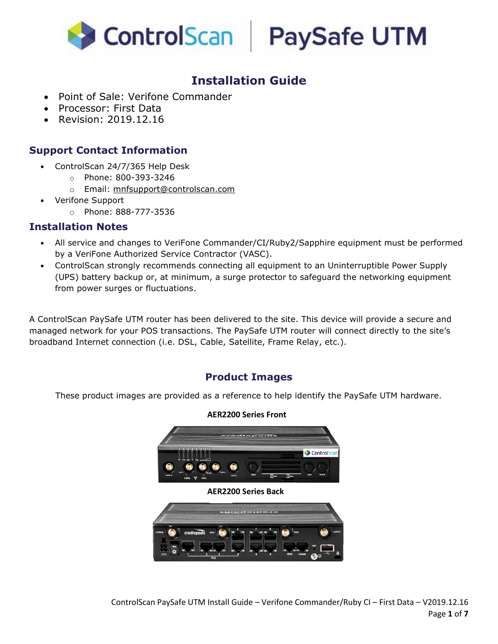



## **Installation Guide**

- Point of Sale: Verifone Commander
- Processor: First Data
- Revision: 2019.12.16

#### **Support Contact Information**

- ControlScan 24/7/365 Help Desk
	- o Phone: 800-393-3246
	- o Email: [mnfsupport@controlscan.com](mailto:mnfsupport@controlscan.com)
- Verifone Support
	- o Phone: 888-777-3536

#### **Installation Notes**

- All service and changes to VeriFone Commander/CI/Ruby2/Sapphire equipment must be performed by a VeriFone Authorized Service Contractor (VASC).
- ControlScan strongly recommends connecting all equipment to an Uninterruptible Power Supply (UPS) battery backup or, at minimum, a surge protector to safeguard the networking equipment from power surges or fluctuations.

A ControlScan PaySafe UTM router has been delivered to the site. This device will provide a secure and managed network for your POS transactions. The PaySafe UTM router will connect directly to the site's broadband Internet connection (i.e. DSL, Cable, Satellite, Frame Relay, etc.).

#### **Product Images**

These product images are provided as a reference to help identify the PaySafe UTM hardware.

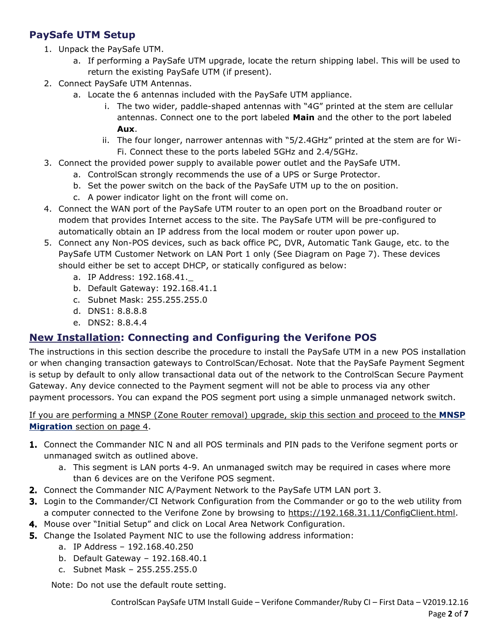### **PaySafe UTM Setup**

- 1. Unpack the PaySafe UTM.
	- a. If performing a PaySafe UTM upgrade, locate the return shipping label. This will be used to return the existing PaySafe UTM (if present).
- 2. Connect PaySafe UTM Antennas.
	- a. Locate the 6 antennas included with the PaySafe UTM appliance.
		- i. The two wider, paddle-shaped antennas with "4G" printed at the stem are cellular antennas. Connect one to the port labeled **Main** and the other to the port labeled **Aux**.
		- ii. The four longer, narrower antennas with "5/2.4GHz" printed at the stem are for Wi-Fi. Connect these to the ports labeled 5GHz and 2.4/5GHz.
- 3. Connect the provided power supply to available power outlet and the PaySafe UTM.
	- a. ControlScan strongly recommends the use of a UPS or Surge Protector.
	- b. Set the power switch on the back of the PaySafe UTM up to the on position.
	- c. A power indicator light on the front will come on.
- 4. Connect the WAN port of the PaySafe UTM router to an open port on the Broadband router or modem that provides Internet access to the site. The PaySafe UTM will be pre-configured to automatically obtain an IP address from the local modem or router upon power up.
- 5. Connect any Non-POS devices, such as back office PC, DVR, Automatic Tank Gauge, etc. to the PaySafe UTM Customer Network on LAN Port 1 only (See Diagram on Page 7). These devices should either be set to accept DHCP, or statically configured as below:
	- a. IP Address: 192.168.41.\_
	- b. Default Gateway: 192.168.41.1
	- c. Subnet Mask: 255.255.255.0
	- d. DNS1: 8.8.8.8
	- e. DNS2: 8.8.4.4

#### **New Installation: Connecting and Configuring the Verifone POS**

The instructions in this section describe the procedure to install the PaySafe UTM in a new POS installation or when changing transaction gateways to ControlScan/Echosat. Note that the PaySafe Payment Segment is setup by default to only allow transactional data out of the network to the ControlScan Secure Payment Gateway. Any device connected to the Payment segment will not be able to process via any other payment processors. You can expand the POS segment port using a simple unmanaged network switch.

#### If you are performing a MNSP (Zone Router removal) upgrade, skip this section and proceed to the **MNSP Migration** section on page 4.

- **1.** Connect the Commander NIC N and all POS terminals and PIN pads to the Verifone segment ports or unmanaged switch as outlined above.
	- a. This segment is LAN ports 4-9. An unmanaged switch may be required in cases where more than 6 devices are on the Verifone POS segment.
- 2. Connect the Commander NIC A/Payment Network to the PaySafe UTM LAN port 3.
- **3.** Login to the Commander/CI Network Configuration from the Commander or go to the web utility from a computer connected to the Verifone Zone by browsing to [https://192.168.31.11/ConfigClient.html.](https://192.168.31.11/ConfigClient.html)
- 4. Mouse over "Initial Setup" and click on Local Area Network Configuration.
- **5.** Change the Isolated Payment NIC to use the following address information:
	- a. IP Address 192.168.40.250
	- b. Default Gateway 192.168.40.1
	- c. Subnet Mask 255.255.255.0

Note: Do not use the default route setting.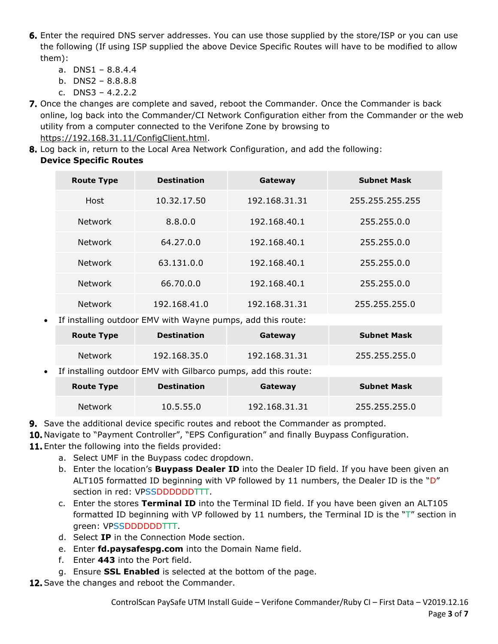- 6. Enter the required DNS server addresses. You can use those supplied by the store/ISP or you can use the following (If using ISP supplied the above Device Specific Routes will have to be modified to allow them):
	- a. DNS1 8.8.4.4
	- b. DNS2 8.8.8.8
	- c. DNS3 4.2.2.2
- 7. Once the changes are complete and saved, reboot the Commander. Once the Commander is back online, log back into the Commander/CI Network Configuration either from the Commander or the web utility from a computer connected to the Verifone Zone by browsing to [https://192.168.31.11/ConfigClient.html.](https://192.168.31.11/ConfigClient.html)
- 8. Log back in, return to the Local Area Network Configuration, and add the following: **Device Specific Routes**

| <b>Route Type</b> | <b>Destination</b> | Gateway       | <b>Subnet Mask</b> |
|-------------------|--------------------|---------------|--------------------|
| Host              | 10.32.17.50        | 192.168.31.31 | 255.255.255.255    |
| <b>Network</b>    | 8.8.0.0            | 192.168.40.1  | 255.255.0.0        |
| Network           | 64.27.0.0          | 192.168.40.1  | 255.255.0.0        |
| <b>Network</b>    | 63.131.0.0         | 192.168.40.1  | 255.255.0.0        |
| <b>Network</b>    | 66.70.0.0          | 192.168.40.1  | 255.255.0.0        |
| <b>Network</b>    | 192.168.41.0       | 192.168.31.31 | 255.255.255.0      |

If installing outdoor EMV with Wayne pumps, add this route:

|                                                                               | <b>Route Type</b> | <b>Destination</b> | Gateway       | <b>Subnet Mask</b> |  |
|-------------------------------------------------------------------------------|-------------------|--------------------|---------------|--------------------|--|
|                                                                               | Network           | 192.168.35.0       | 192.168.31.31 | 255.255.255.0      |  |
| If installing outdoor EMV with Gilbarco pumps, add this route:<br>$\bullet$ . |                   |                    |               |                    |  |
|                                                                               | <b>Route Type</b> | <b>Destination</b> | Gateway       | <b>Subnet Mask</b> |  |

Network 10.5.55.0 192.168.31.31 255.255.255.0

- **9.** Save the additional device specific routes and reboot the Commander as prompted.
- 10. Navigate to "Payment Controller", "EPS Configuration" and finally Buypass Configuration.
- 11. Enter the following into the fields provided:
	- a. Select UMF in the Buypass codec dropdown.
	- b. Enter the location's **Buypass Dealer ID** into the Dealer ID field. If you have been given an ALT105 formatted ID beginning with VP followed by 11 numbers, the Dealer ID is the " $D''$ section in red: VPSSDDDDDDTTT.
	- c. Enter the stores **Terminal ID** into the Terminal ID field. If you have been given an ALT105 formatted ID beginning with VP followed by 11 numbers, the Terminal ID is the "T" section in green: VPSSDDDDDDTTT.
	- d. Select **IP** in the Connection Mode section.
	- e. Enter **fd.paysafespg.com** into the Domain Name field.
	- f. Enter **443** into the Port field.
	- g. Ensure **SSL Enabled** is selected at the bottom of the page.

12. Save the changes and reboot the Commander.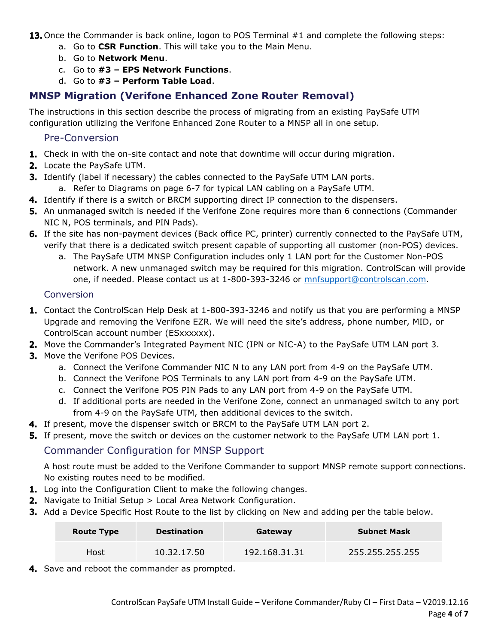13. Once the Commander is back online, logon to POS Terminal #1 and complete the following steps:

- a. Go to **CSR Function**. This will take you to the Main Menu.
- b. Go to **Network Menu**.
- c. Go to **#3 – EPS Network Functions**.
- d. Go to **#3 – Perform Table Load**.

#### **MNSP Migration (Verifone Enhanced Zone Router Removal)**

The instructions in this section describe the process of migrating from an existing PaySafe UTM configuration utilizing the Verifone Enhanced Zone Router to a MNSP all in one setup.

#### Pre-Conversion

- **1.** Check in with the on-site contact and note that downtime will occur during migration.
- 2. Locate the PaySafe UTM.
- **3.** Identify (label if necessary) the cables connected to the PaySafe UTM LAN ports.
	- a. Refer to Diagrams on page 6-7 for typical LAN cabling on a PaySafe UTM.
- 4. Identify if there is a switch or BRCM supporting direct IP connection to the dispensers.
- **5.** An unmanaged switch is needed if the Verifone Zone requires more than 6 connections (Commander NIC N, POS terminals, and PIN Pads).
- 6. If the site has non-payment devices (Back office PC, printer) currently connected to the PaySafe UTM, verify that there is a dedicated switch present capable of supporting all customer (non-POS) devices.
	- a. The PaySafe UTM MNSP Configuration includes only 1 LAN port for the Customer Non-POS network. A new unmanaged switch may be required for this migration. ControlScan will provide one, if needed. Please contact us at 1-800-393-3246 or [mnfsupport@controlscan.com.](mailto:mnfsupport@controlscan.com)

#### **Conversion**

- 1. Contact the ControlScan Help Desk at 1-800-393-3246 and notify us that you are performing a MNSP Upgrade and removing the Verifone EZR. We will need the site's address, phone number, MID, or ControlScan account number (ESxxxxxx).
- 2. Move the Commander's Integrated Payment NIC (IPN or NIC-A) to the PaySafe UTM LAN port 3.
- 3. Move the Verifone POS Devices.
	- a. Connect the Verifone Commander NIC N to any LAN port from 4-9 on the PaySafe UTM.
	- b. Connect the Verifone POS Terminals to any LAN port from 4-9 on the PaySafe UTM.
	- c. Connect the Verifone POS PIN Pads to any LAN port from 4-9 on the PaySafe UTM.
	- d. If additional ports are needed in the Verifone Zone, connect an unmanaged switch to any port from 4-9 on the PaySafe UTM, then additional devices to the switch.
- 4. If present, move the dispenser switch or BRCM to the PaySafe UTM LAN port 2.
- **5.** If present, move the switch or devices on the customer network to the PaySafe UTM LAN port 1.

#### Commander Configuration for MNSP Support

A host route must be added to the Verifone Commander to support MNSP remote support connections. No existing routes need to be modified.

- 1. Log into the Configuration Client to make the following changes.
- 2. Navigate to Initial Setup > Local Area Network Configuration.
- **3.** Add a Device Specific Host Route to the list by clicking on New and adding per the table below.

| <b>Route Type</b> | <b>Destination</b> | Gateway       | <b>Subnet Mask</b> |
|-------------------|--------------------|---------------|--------------------|
| Host              | 10.32.17.50        | 192.168.31.31 | 255.255.255.255    |

4. Save and reboot the commander as prompted.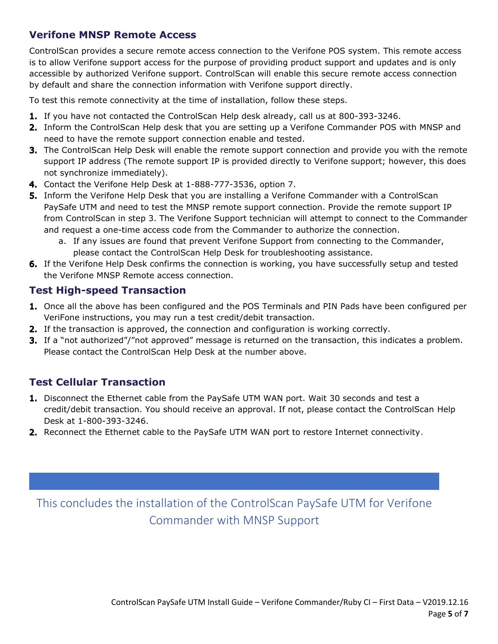#### **Verifone MNSP Remote Access**

ControlScan provides a secure remote access connection to the Verifone POS system. This remote access is to allow Verifone support access for the purpose of providing product support and updates and is only accessible by authorized Verifone support. ControlScan will enable this secure remote access connection by default and share the connection information with Verifone support directly.

To test this remote connectivity at the time of installation, follow these steps.

- 1. If you have not contacted the ControlScan Help desk already, call us at 800-393-3246.
- **2.** Inform the ControlScan Help desk that you are setting up a Verifone Commander POS with MNSP and need to have the remote support connection enable and tested.
- **3.** The ControlScan Help Desk will enable the remote support connection and provide you with the remote support IP address (The remote support IP is provided directly to Verifone support; however, this does not synchronize immediately).
- 4. Contact the Verifone Help Desk at 1-888-777-3536, option 7.
- **5.** Inform the Verifone Help Desk that you are installing a Verifone Commander with a ControlScan PaySafe UTM and need to test the MNSP remote support connection. Provide the remote support IP from ControlScan in step 3. The Verifone Support technician will attempt to connect to the Commander and request a one-time access code from the Commander to authorize the connection.
	- a. If any issues are found that prevent Verifone Support from connecting to the Commander, please contact the ControlScan Help Desk for troubleshooting assistance.
- **6.** If the Verifone Help Desk confirms the connection is working, you have successfully setup and tested the Verifone MNSP Remote access connection.

#### **Test High-speed Transaction**

- 1. Once all the above has been configured and the POS Terminals and PIN Pads have been configured per VeriFone instructions, you may run a test credit/debit transaction.
- 2. If the transaction is approved, the connection and configuration is working correctly.
- **3.** If a "not authorized"/"not approved" message is returned on the transaction, this indicates a problem. Please contact the ControlScan Help Desk at the number above.

#### **Test Cellular Transaction**

- 1. Disconnect the Ethernet cable from the PaySafe UTM WAN port. Wait 30 seconds and test a credit/debit transaction. You should receive an approval. If not, please contact the ControlScan Help Desk at 1-800-393-3246.
- 2. Reconnect the Ethernet cable to the PaySafe UTM WAN port to restore Internet connectivity.

This concludes the installation of the ControlScan PaySafe UTM for Verifone Commander with MNSP Support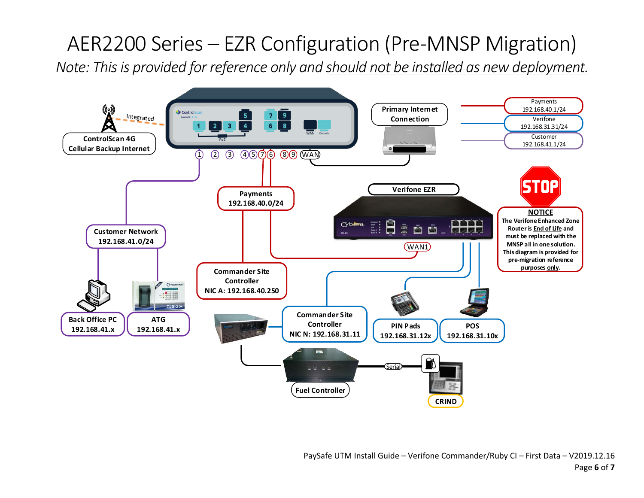# AER2200 Series – EZR Configuration (Pre-MNSP Migration)

*Note: This is provided for reference only and should not be installed as new deployment.*